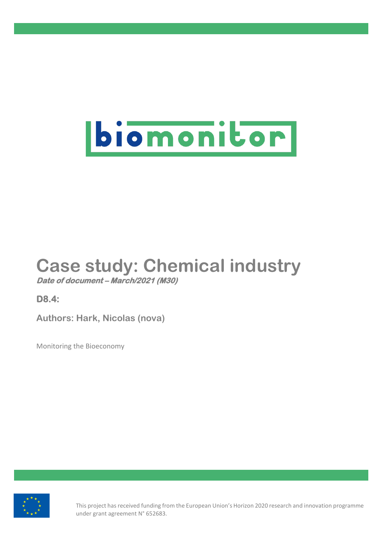

# **Case study: Chemical industry**

**Date of document – March/2021 (M30)**

**D8.4:** 

**Authors: Hark, Nicolas (nova)**

Monitoring the Bioeconomy



This project has received funding from the European Union's Horizon 2020 research and innovation programme under grant agreement N° 652683.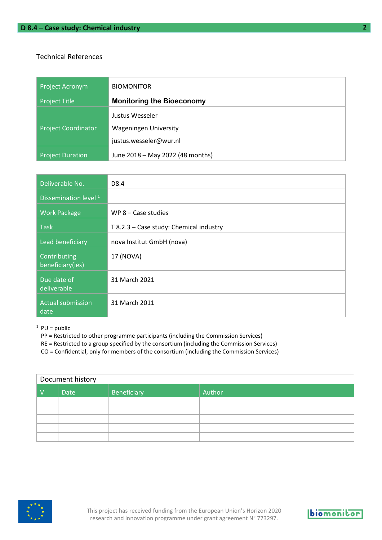#### Technical References

| <b>Project Acronym</b>     | <b>BIOMONITOR</b>                |
|----------------------------|----------------------------------|
| <b>Project Title</b>       | <b>Monitoring the Bioeconomy</b> |
|                            | Justus Wesseler                  |
| <b>Project Coordinator</b> | <b>Wageningen University</b>     |
|                            | justus.wesseler@wur.nl           |
| <b>Project Duration</b>    | June 2018 - May 2022 (48 months) |

| Deliverable No.                  | D8.4                                    |
|----------------------------------|-----------------------------------------|
| Dissemination level <sup>1</sup> |                                         |
| <b>Work Package</b>              | WP $8 - Case$ studies                   |
| <b>Task</b>                      | T 8.2.3 - Case study: Chemical industry |
| Lead beneficiary                 | nova Institut GmbH (nova)               |
| Contributing<br>beneficiary(ies) | 17 (NOVA)                               |
| Due date of<br>deliverable       | 31 March 2021                           |
| <b>Actual submission</b><br>date | 31 March 2011                           |

 $1$  PU = public

- PP = Restricted to other programme participants (including the Commission Services)
- RE = Restricted to a group specified by the consortium (including the Commission Services)
- CO = Confidential, only for members of the consortium (including the Commission Services)

| Document history |             |             |        |
|------------------|-------------|-------------|--------|
| $\vee$           | <b>Date</b> | Beneficiary | Author |
|                  |             |             |        |
|                  |             |             |        |
|                  |             |             |        |
|                  |             |             |        |
|                  |             |             |        |

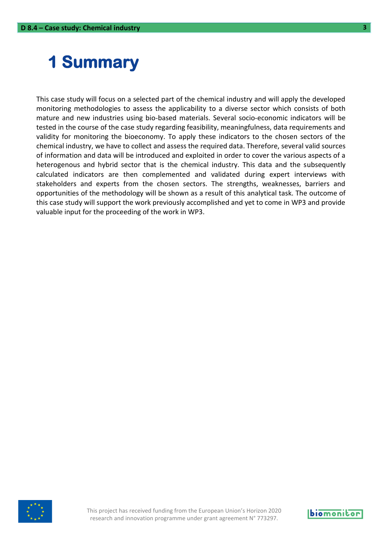## <span id="page-2-0"></span>**1 Summary**

This case study will focus on a selected part of the chemical industry and will apply the developed monitoring methodologies to assess the applicability to a diverse sector which consists of both mature and new industries using bio-based materials. Several socio-economic indicators will be tested in the course of the case study regarding feasibility, meaningfulness, data requirements and validity for monitoring the bioeconomy. To apply these indicators to the chosen sectors of the chemical industry, we have to collect and assess the required data. Therefore, several valid sources of information and data will be introduced and exploited in order to cover the various aspects of a heterogenous and hybrid sector that is the chemical industry. This data and the subsequently calculated indicators are then complemented and validated during expert interviews with stakeholders and experts from the chosen sectors. The strengths, weaknesses, barriers and opportunities of the methodology will be shown as a result of this analytical task. The outcome of this case study will support the work previously accomplished and yet to come in WP3 and provide valuable input for the proceeding of the work in WP3.



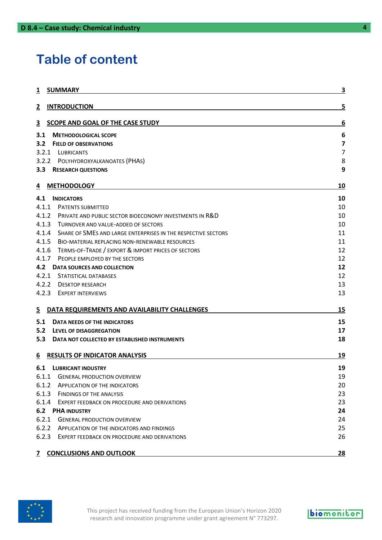### **Table of content**

| <b>SUMMARY</b><br>1                                                    | 3         |
|------------------------------------------------------------------------|-----------|
| <b>INTRODUCTION</b><br>2                                               | 5         |
| SCOPE AND GOAL OF THE CASE STUDY<br>3                                  | 6         |
| 3.1<br><b>METHODOLOGICAL SCOPE</b>                                     | 6         |
| 3.2<br><b>FIELD OF OBSERVATIONS</b>                                    | 7         |
| 3.2.1 LUBRICANTS                                                       | 7         |
| 3.2.2 POLYHYDROXYALKANOATES (PHAS)                                     | 8         |
| $3.3^{\circ}$<br><b>RESEARCH QUESTIONS</b>                             | 9         |
| <b>METHODOLOGY</b><br>4                                                | 10        |
| 4.1<br><b>INDICATORS</b>                                               | 10        |
| 4.1.1 PATENTS SUBMITTED                                                | 10        |
| 4.1.2 PRIVATE AND PUBLIC SECTOR BIOECONOMY INVESTMENTS IN R&D          | 10        |
| 4.1.3<br>TURNOVER AND VALUE-ADDED OF SECTORS                           | 10        |
| 4.1.4<br>SHARE OF SMES AND LARGE ENTERPRISES IN THE RESPECTIVE SECTORS | 11        |
| 4.1.5<br><b>BIO-MATERIAL REPLACING NON-RENEWABLE RESOURCES</b>         | 11        |
| 4.1.6 TERMS-OF-TRADE / EXPORT & IMPORT PRICES OF SECTORS               | 12        |
| 4.1.7<br>PEOPLE EMPLOYED BY THE SECTORS                                | 12        |
| 4.2<br>DATA SOURCES AND COLLECTION                                     | 12        |
| 4.2.1<br>STATISTICAL DATABASES                                         | 12        |
| 4.2.2 DESKTOP RESEARCH                                                 | 13        |
| 4.2.3<br><b>EXPERT INTERVIEWS</b>                                      | 13        |
| DATA REQUIREMENTS AND AVAILABILITY CHALLENGES<br>$\overline{5}$        | 15        |
| 5.1<br>DATA NEEDS OF THE INDICATORS                                    | 15        |
| 5.2<br>LEVEL OF DISAGGREGATION                                         | 17        |
| 5.3<br>DATA NOT COLLECTED BY ESTABLISHED INSTRUMENTS                   | 18        |
| <b>RESULTS OF INDICATOR ANALYSIS</b><br>6                              | 19        |
| 6.1<br><b>LUBRICANT INDUSTRY</b>                                       | 19        |
| 6.1.1<br><b>GENERAL PRODUCTION OVERVIEW</b>                            | 19        |
| 6.1.2<br><b>APPLICATION OF THE INDICATORS</b>                          | 20        |
| 6.1.3<br><b>FINDINGS OF THE ANALYSIS</b>                               | 23        |
| 6.1.4<br>EXPERT FEEDBACK ON PROCEDURE AND DERIVATIONS                  | 23        |
| <b>6.2 PHA INDUSTRY</b>                                                | 24        |
| 6.2.1<br><b>GENERAL PRODUCTION OVERVIEW</b>                            | 24        |
| 6.2.2<br>APPLICATION OF THE INDICATORS AND FINDINGS                    | 25        |
| 6.2.3<br>EXPERT FEEDBACK ON PROCEDURE AND DERIVATIONS                  | 26        |
| <b>CONCLUSIONS AND OUTLOOK</b><br>7                                    | <u>28</u> |

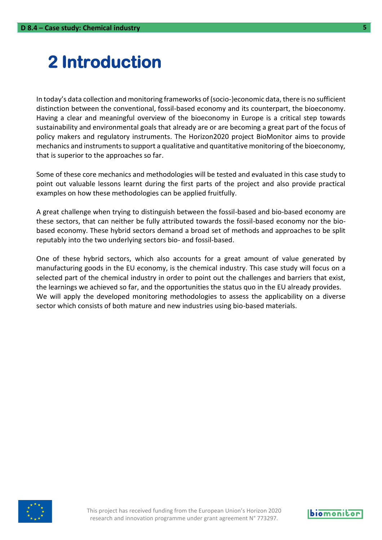## <span id="page-4-0"></span>**2 Introduction**

In today's data collection and monitoring frameworks of (socio-)economic data, there is no sufficient distinction between the conventional, fossil-based economy and its counterpart, the bioeconomy. Having a clear and meaningful overview of the bioeconomy in Europe is a critical step towards sustainability and environmental goals that already are or are becoming a great part of the focus of policy makers and regulatory instruments. The Horizon2020 project BioMonitor aims to provide mechanics and instruments to support a qualitative and quantitative monitoring of the bioeconomy, that is superior to the approaches so far.

Some of these core mechanics and methodologies will be tested and evaluated in this case study to point out valuable lessons learnt during the first parts of the project and also provide practical examples on how these methodologies can be applied fruitfully.

A great challenge when trying to distinguish between the fossil-based and bio-based economy are these sectors, that can neither be fully attributed towards the fossil-based economy nor the biobased economy. These hybrid sectors demand a broad set of methods and approaches to be split reputably into the two underlying sectors bio- and fossil-based.

One of these hybrid sectors, which also accounts for a great amount of value generated by manufacturing goods in the EU economy, is the chemical industry. This case study will focus on a selected part of the chemical industry in order to point out the challenges and barriers that exist, the learnings we achieved so far, and the opportunities the status quo in the EU already provides. We will apply the developed monitoring methodologies to assess the applicability on a diverse sector which consists of both mature and new industries using bio-based materials.



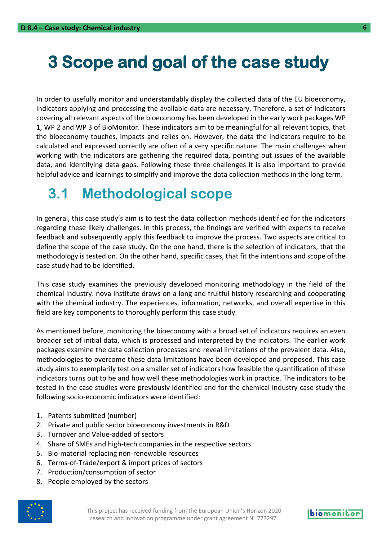## <span id="page-5-0"></span>**3 Scope and goal of the case study**

In order to usefully monitor and understandably display the collected data of the EU bioeconomy, indicators applying and processing the available data are necessary. Therefore, a set of indicators covering all relevant aspects of the bioeconomy has been developed in the early work packages WP 1, WP 2 and WP 3 of BioMonitor. These indicators aim to be meaningful for all relevant topics, that the bioeconomy touches, impacts and relies on. However, the data the indicators require to be calculated and expressed correctly are often of a very specific nature. The main challenges when working with the indicators are gathering the required data, pointing out issues of the available data, and identifying data gaps. Following these three challenges it is also important to provide helpful advice and learnings to simplify and improve the data collection methods in the long term.

### <span id="page-5-1"></span>**3.1 Methodological scope**

In general, this case study's aim is to test the data collection methods identified for the indicators regarding these likely challenges. In this process, the findings are verified with experts to receive feedback and subsequently apply this feedback to improve the process. Two aspects are critical to define the scope of the case study. On the one hand, there is the selection of indicators, that the methodology is tested on. On the other hand, specific cases, that fit the intentions and scope of the case study had to be identified.

This case study examines the previously developed monitoring methodology in the field of the chemical industry. nova Institute draws on a long and fruitful history researching and cooperating with the chemical industry. The experiences, information, networks, and overall expertise in this field are key components to thoroughly perform this case study.

As mentioned before, monitoring the bioeconomy with a broad set of indicators requires an even broader set of initial data, which is processed and interpreted by the indicators. The earlier work packages examine the data collection processes and reveal limitations of the prevalent data. Also, methodologies to overcome these data limitations have been developed and proposed. This case study aims to exemplarily test on a smaller set of indicators how feasible the quantification of these indicators turns out to be and how well these methodologies work in practice. The indicators to be tested in the case studies were previously identified and for the chemical industry case study the following socio-economic indicators were identified:

- 1. Patents submitted (number)
- 2. Private and public sector bioeconomy investments in R&D
- 3. Turnover and Value-added of sectors
- 4. Share of SMEs and high-tech companies in the respective sectors
- 5. Bio-material replacing non-renewable resources
- 6. Terms-of-Trade/export & import prices of sectors
- 7. Production/consumption of sector
- 8. People employed by the sectors



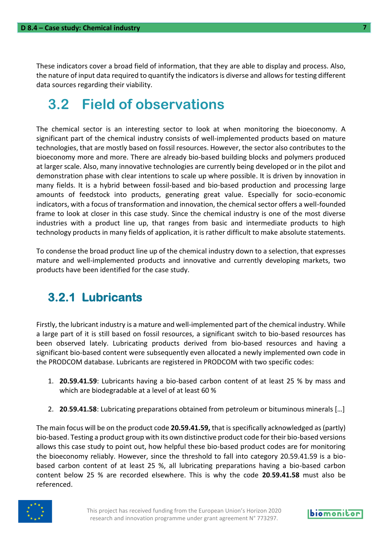These indicators cover a broad field of information, that they are able to display and process. Also, the nature of input data required to quantify the indicators is diverse and allows for testing different data sources regarding their viability.

### <span id="page-6-0"></span>**3.2 Field of observations**

The chemical sector is an interesting sector to look at when monitoring the bioeconomy. A significant part of the chemical industry consists of well-implemented products based on mature technologies, that are mostly based on fossil resources. However, the sector also contributes to the bioeconomy more and more. There are already bio-based building blocks and polymers produced at larger scale. Also, many innovative technologies are currently being developed or in the pilot and demonstration phase with clear intentions to scale up where possible. It is driven by innovation in many fields. It is a hybrid between fossil-based and bio-based production and processing large amounts of feedstock into products, generating great value. Especially for socio-economic indicators, with a focus of transformation and innovation, the chemical sector offers a well-founded frame to look at closer in this case study. Since the chemical industry is one of the most diverse industries with a product line up, that ranges from basic and intermediate products to high technology products in many fields of application, it is rather difficult to make absolute statements.

To condense the broad product line up of the chemical industry down to a selection, that expresses mature and well-implemented products and innovative and currently developing markets, two products have been identified for the case study.

#### <span id="page-6-1"></span>**3.2.1 Lubricants**

Firstly, the lubricant industry is a mature and well-implemented part of the chemical industry. While a large part of it is still based on fossil resources, a significant switch to bio-based resources has been observed lately. Lubricating products derived from bio-based resources and having a significant bio-based content were subsequently even allocated a newly implemented own code in the PRODCOM database. Lubricants are registered in PRODCOM with two specific codes:

- 1. **20.59.41.59**: Lubricants having a bio-based carbon content of at least 25 % by mass and which are biodegradable at a level of at least 60 %
- 2. **20**.**59.41.58**: Lubricating preparations obtained from petroleum or bituminous minerals […]

The main focus will be on the product code **20.59.41.59,** that isspecifically acknowledged as (partly) bio-based. Testing a product group with its own distinctive product code for their bio-based versions allows this case study to point out, how helpful these bio-based product codes are for monitoring the bioeconomy reliably. However, since the threshold to fall into category 20.59.41.59 is a biobased carbon content of at least 25 %, all lubricating preparations having a bio-based carbon content below 25 % are recorded elsewhere. This is why the code **20**.**59.41.58** must also be referenced.



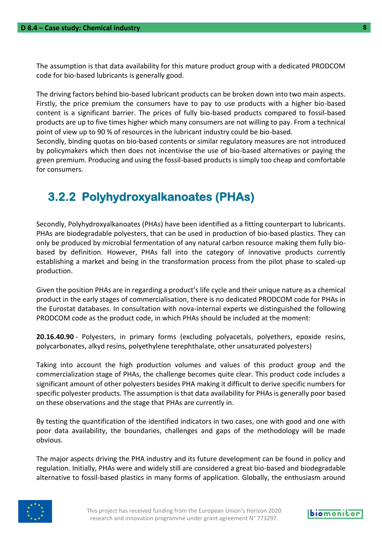The assumption is that data availability for this mature product group with a dedicated PRODCOM code for bio-based lubricants is generally good.

The driving factors behind bio-based lubricant products can be broken down into two main aspects. Firstly, the price premium the consumers have to pay to use products with a higher bio-based content is a significant barrier. The prices of fully bio-based products compared to fossil-based products are up to five times higher which many consumers are not willing to pay. From a technical point of view up to 90 % of resources in the lubricant industry could be bio-based.

Secondly, binding quotas on bio-based contents or similar regulatory measures are not introduced by policymakers which then does not incentivise the use of bio-based alternatives or paying the green premium. Producing and using the fossil-based products is simply too cheap and comfortable for consumers.

#### <span id="page-7-0"></span>**3.2.2 Polyhydroxyalkanoates (PHAs)**

Secondly, Polyhydroxyalkanoates (PHAs) have been identified as a fitting counterpart to lubricants. PHAs are biodegradable polyesters, that can be used in production of bio-based plastics. They can only be produced by microbial fermentation of any natural carbon resource making them fully biobased by definition. However, PHAs fall into the category of innovative products currently establishing a market and being in the transformation process from the pilot phase to scaled-up production.

Given the position PHAs are in regarding a product's life cycle and their unique nature as a chemical product in the early stages of commercialisation, there is no dedicated PRODCOM code for PHAs in the Eurostat databases. In consultation with nova-internal experts we distinguished the following PRODCOM code as the product code, in which PHAs should be included at the moment:

**20.16.40.90** - Polyesters, in primary forms (excluding polyacetals, polyethers, epoxide resins, polycarbonates, alkyd resins, polyethylene terephthalate, other unsaturated polyesters)

Taking into account the high production volumes and values of this product group and the commercialization stage of PHAs, the challenge becomes quite clear. This product code includes a significant amount of other polyesters besides PHA making it difficult to derive specific numbers for specific polyester products. The assumption is that data availability for PHAs is generally poor based on these observations and the stage that PHAs are currently in.

By testing the quantification of the identified indicators in two cases, one with good and one with poor data availability, the boundaries, challenges and gaps of the methodology will be made obvious.

The major aspects driving the PHA industry and its future development can be found in policy and regulation. Initially, PHAs were and widely still are considered a great bio-based and biodegradable alternative to fossil-based plastics in many forms of application. Globally, the enthusiasm around

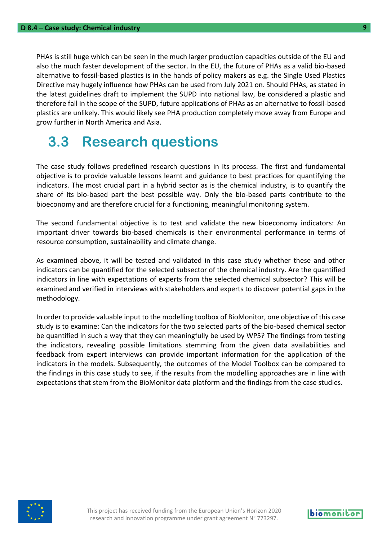PHAs is still huge which can be seen in the much larger production capacities outside of the EU and also the much faster development of the sector. In the EU, the future of PHAs as a valid bio-based alternative to fossil-based plastics is in the hands of policy makers as e.g. the Single Used Plastics Directive may hugely influence how PHAs can be used from July 2021 on. Should PHAs, as stated in the latest guidelines draft to implement the SUPD into national law, be considered a plastic and therefore fall in the scope of the SUPD, future applications of PHAs as an alternative to fossil-based plastics are unlikely. This would likely see PHA production completely move away from Europe and grow further in North America and Asia.

### <span id="page-8-0"></span>**3.3 Research questions**

The case study follows predefined research questions in its process. The first and fundamental objective is to provide valuable lessons learnt and guidance to best practices for quantifying the indicators. The most crucial part in a hybrid sector as is the chemical industry, is to quantify the share of its bio-based part the best possible way. Only the bio-based parts contribute to the bioeconomy and are therefore crucial for a functioning, meaningful monitoring system.

The second fundamental objective is to test and validate the new bioeconomy indicators: An important driver towards bio-based chemicals is their environmental performance in terms of resource consumption, sustainability and climate change.

As examined above, it will be tested and validated in this case study whether these and other indicators can be quantified for the selected subsector of the chemical industry. Are the quantified indicators in line with expectations of experts from the selected chemical subsector? This will be examined and verified in interviews with stakeholders and experts to discover potential gaps in the methodology.

In order to provide valuable input to the modelling toolbox of BioMonitor, one objective of this case study is to examine: Can the indicators for the two selected parts of the bio-based chemical sector be quantified in such a way that they can meaningfully be used by WP5? The findings from testing the indicators, revealing possible limitations stemming from the given data availabilities and feedback from expert interviews can provide important information for the application of the indicators in the models. Subsequently, the outcomes of the Model Toolbox can be compared to the findings in this case study to see, if the results from the modelling approaches are in line with expectations that stem from the BioMonitor data platform and the findings from the case studies.



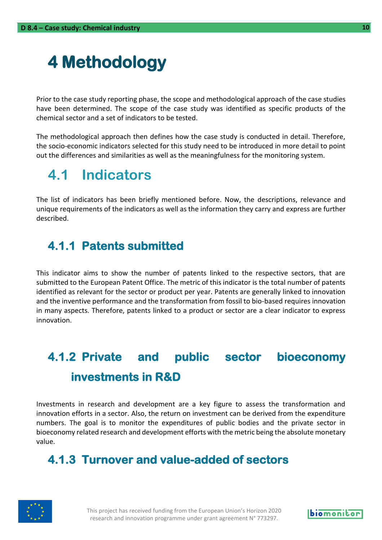## <span id="page-9-0"></span>**4 Methodology**

Prior to the case study reporting phase, the scope and methodological approach of the case studies have been determined. The scope of the case study was identified as specific products of the chemical sector and a set of indicators to be tested.

The methodological approach then defines how the case study is conducted in detail. Therefore, the socio-economic indicators selected for this study need to be introduced in more detail to point out the differences and similarities as well as the meaningfulness for the monitoring system.

### <span id="page-9-1"></span>**4.1 Indicators**

The list of indicators has been briefly mentioned before. Now, the descriptions, relevance and unique requirements of the indicators as well as the information they carry and express are further described.

#### <span id="page-9-2"></span>**4.1.1 Patents submitted**

This indicator aims to show the number of patents linked to the respective sectors, that are submitted to the European Patent Office. The metric of this indicator is the total number of patents identified as relevant for the sector or product per year. Patents are generally linked to innovation and the inventive performance and the transformation from fossil to bio-based requires innovation in many aspects. Therefore, patents linked to a product or sector are a clear indicator to express innovation.

### <span id="page-9-3"></span>**4.1.2 Private and public sector bioeconomy investments in R&D**

Investments in research and development are a key figure to assess the transformation and innovation efforts in a sector. Also, the return on investment can be derived from the expenditure numbers. The goal is to monitor the expenditures of public bodies and the private sector in bioeconomy related research and development efforts with the metric being the absolute monetary value.

#### <span id="page-9-4"></span>**4.1.3 Turnover and value-added of sectors**



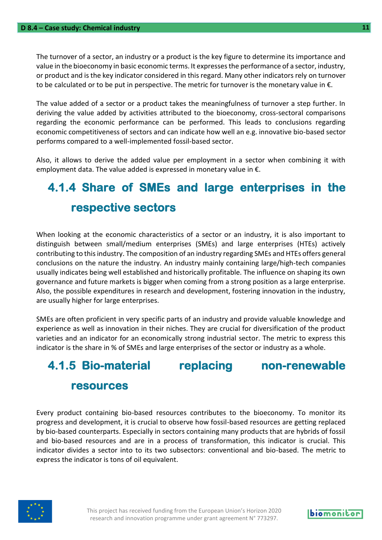The turnover of a sector, an industry or a product is the key figure to determine its importance and value in the bioeconomy in basic economic terms. It expresses the performance of a sector, industry, or product and is the key indicator considered in this regard. Many other indicators rely on turnover to be calculated or to be put in perspective. The metric for turnover is the monetary value in €.

The value added of a sector or a product takes the meaningfulness of turnover a step further. In deriving the value added by activities attributed to the bioeconomy, cross-sectoral comparisons regarding the economic performance can be performed. This leads to conclusions regarding economic competitiveness of sectors and can indicate how well an e.g. innovative bio-based sector performs compared to a well-implemented fossil-based sector.

Also, it allows to derive the added value per employment in a sector when combining it with employment data. The value added is expressed in monetary value in  $\epsilon$ .

### <span id="page-10-0"></span>**4.1.4 Share of SMEs and large enterprises in the respective sectors**

When looking at the economic characteristics of a sector or an industry, it is also important to distinguish between small/medium enterprises (SMEs) and large enterprises (HTEs) actively contributing to this industry. The composition of an industry regarding SMEs and HTEs offers general conclusions on the nature the industry. An industry mainly containing large/high-tech companies usually indicates being well established and historically profitable. The influence on shaping its own governance and future markets is bigger when coming from a strong position as a large enterprise. Also, the possible expenditures in research and development, fostering innovation in the industry, are usually higher for large enterprises.

SMEs are often proficient in very specific parts of an industry and provide valuable knowledge and experience as well as innovation in their niches. They are crucial for diversification of the product varieties and an indicator for an economically strong industrial sector. The metric to express this indicator is the share in % of SMEs and large enterprises of the sector or industry as a whole.

### <span id="page-10-1"></span>**4.1.5 Bio-material replacing non-renewable resources**

Every product containing bio-based resources contributes to the bioeconomy. To monitor its progress and development, it is crucial to observe how fossil-based resources are getting replaced by bio-based counterparts. Especially in sectors containing many products that are hybrids of fossil and bio-based resources and are in a process of transformation, this indicator is crucial. This indicator divides a sector into to its two subsectors: conventional and bio-based. The metric to express the indicator is tons of oil equivalent.



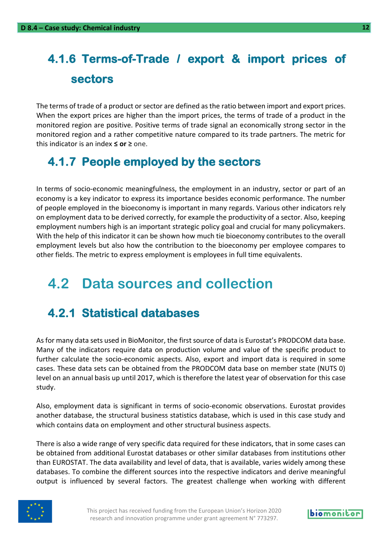### <span id="page-11-0"></span>**4.1.6 Terms-of-Trade / export & import prices of sectors**

The terms of trade of a product or sector are defined as the ratio between import and export prices. When the export prices are higher than the import prices, the terms of trade of a product in the monitored region are positive. Positive terms of trade signal an economically strong sector in the monitored region and a rather competitive nature compared to its trade partners. The metric for this indicator is an index **≤ or ≥** one.

#### <span id="page-11-1"></span>**4.1.7 People employed by the sectors**

In terms of socio-economic meaningfulness, the employment in an industry, sector or part of an economy is a key indicator to express its importance besides economic performance. The number of people employed in the bioeconomy is important in many regards. Various other indicators rely on employment data to be derived correctly, for example the productivity of a sector. Also, keeping employment numbers high is an important strategic policy goal and crucial for many policymakers. With the help of this indicator it can be shown how much tie bioeconomy contributes to the overall employment levels but also how the contribution to the bioeconomy per employee compares to other fields. The metric to express employment is employees in full time equivalents.

### <span id="page-11-2"></span>**4.2 Data sources and collection**

#### <span id="page-11-3"></span>**4.2.1 Statistical databases**

As for many data sets used in BioMonitor, the first source of data is Eurostat's PRODCOM data base. Many of the indicators require data on production volume and value of the specific product to further calculate the socio-economic aspects. Also, export and import data is required in some cases. These data sets can be obtained from the PRODCOM data base on member state (NUTS 0) level on an annual basis up until 2017, which is therefore the latest year of observation for this case study.

Also, employment data is significant in terms of socio-economic observations. Eurostat provides another database, the structural business statistics database, which is used in this case study and which contains data on employment and other structural business aspects.

There is also a wide range of very specific data required for these indicators, that in some cases can be obtained from additional Eurostat databases or other similar databases from institutions other than EUROSTAT. The data availability and level of data, that is available, varies widely among these databases. To combine the different sources into the respective indicators and derive meaningful output is influenced by several factors. The greatest challenge when working with different

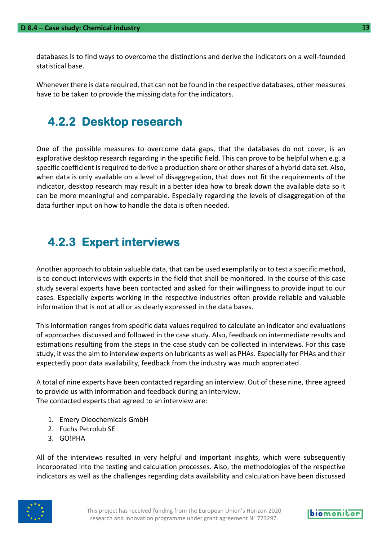databases is to find ways to overcome the distinctions and derive the indicators on a well-founded statistical base.

Whenever there is data required, that can not be found in the respective databases, other measures have to be taken to provide the missing data for the indicators.

#### <span id="page-12-0"></span>**4.2.2 Desktop research**

One of the possible measures to overcome data gaps, that the databases do not cover, is an explorative desktop research regarding in the specific field. This can prove to be helpful when e.g. a specific coefficient is required to derive a production share or other shares of a hybrid data set. Also, when data is only available on a level of disaggregation, that does not fit the requirements of the indicator, desktop research may result in a better idea how to break down the available data so it can be more meaningful and comparable. Especially regarding the levels of disaggregation of the data further input on how to handle the data is often needed.

#### <span id="page-12-1"></span>**4.2.3 Expert interviews**

Another approach to obtain valuable data, that can be used exemplarily or to test a specific method, is to conduct interviews with experts in the field that shall be monitored. In the course of this case study several experts have been contacted and asked for their willingness to provide input to our cases. Especially experts working in the respective industries often provide reliable and valuable information that is not at all or as clearly expressed in the data bases.

This information ranges from specific data values required to calculate an indicator and evaluations of approaches discussed and followed in the case study. Also, feedback on intermediate results and estimations resulting from the steps in the case study can be collected in interviews. For this case study, it was the aim to interview experts on lubricants as well as PHAs. Especially for PHAs and their expectedly poor data availability, feedback from the industry was much appreciated.

A total of nine experts have been contacted regarding an interview. Out of these nine, three agreed to provide us with information and feedback during an interview. The contacted experts that agreed to an interview are:

- 1. Emery Oleochemicals GmbH
- 2. Fuchs Petrolub SE
- 3. GO!PHA

All of the interviews resulted in very helpful and important insights, which were subsequently incorporated into the testing and calculation processes. Also, the methodologies of the respective indicators as well as the challenges regarding data availability and calculation have been discussed

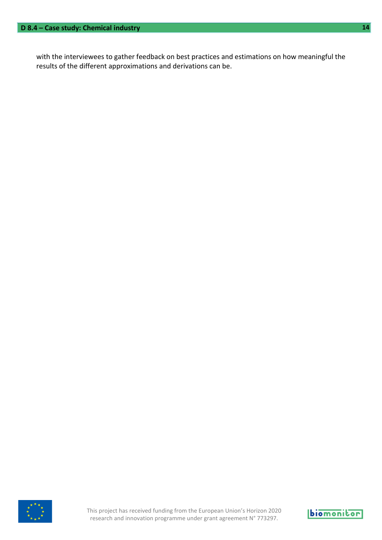with the interviewees to gather feedback on best practices and estimations on how meaningful the results of the different approximations and derivations can be.



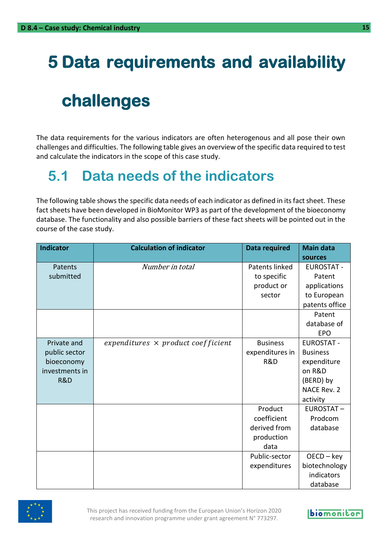## <span id="page-14-0"></span>**5 Data requirements and availability**

## **challenges**

The data requirements for the various indicators are often heterogenous and all pose their own challenges and difficulties. The following table gives an overview of the specific data required to test and calculate the indicators in the scope of this case study.

### <span id="page-14-1"></span>**5.1 Data needs of the indicators**

The following table shows the specific data needs of each indicator as defined in its fact sheet. These fact sheets have been developed in BioMonitor WP3 as part of the development of the bioeconomy database. The functionality and also possible barriers of these fact sheets will be pointed out in the course of the case study.

| <b>Indicator</b> | <b>Calculation of indicator</b>           | <b>Data required</b> | <b>Main data</b>  |
|------------------|-------------------------------------------|----------------------|-------------------|
|                  |                                           |                      | sources           |
| Patents          | Number in total                           | Patents linked       | <b>EUROSTAT -</b> |
| submitted        |                                           | to specific          | Patent            |
|                  |                                           | product or           | applications      |
|                  |                                           | sector               | to European       |
|                  |                                           |                      | patents office    |
|                  |                                           |                      | Patent            |
|                  |                                           |                      | database of       |
|                  |                                           |                      | <b>EPO</b>        |
| Private and      | expenditures $\times$ product coefficient | <b>Business</b>      | <b>EUROSTAT -</b> |
| public sector    |                                           | expenditures in      | <b>Business</b>   |
| bioeconomy       |                                           | <b>R&amp;D</b>       | expenditure       |
| investments in   |                                           |                      | on R&D            |
| R&D              |                                           |                      | (BERD) by         |
|                  |                                           |                      | NACE Rev. 2       |
|                  |                                           |                      | activity          |
|                  |                                           | Product              | <b>EUROSTAT-</b>  |
|                  |                                           | coefficient          | Prodcom           |
|                  |                                           | derived from         | database          |
|                  |                                           | production           |                   |
|                  |                                           | data                 |                   |
|                  |                                           | Public-sector        | $OECD - key$      |
|                  |                                           | expenditures         | biotechnology     |
|                  |                                           |                      | indicators        |
|                  |                                           |                      | database          |

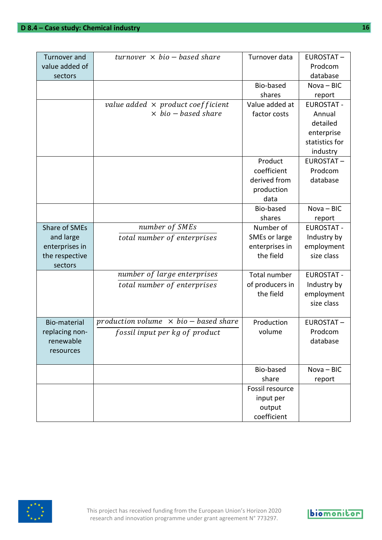| <b>Turnover and</b> | $turnover \times bio - based share$          | Turnover data                                                               | <b>EUROSTAT-</b>       |
|---------------------|----------------------------------------------|-----------------------------------------------------------------------------|------------------------|
| value added of      |                                              |                                                                             | Prodcom                |
| sectors             |                                              |                                                                             | database               |
|                     |                                              | Bio-based                                                                   | $Nova - BIC$           |
|                     |                                              | shares                                                                      | report                 |
|                     | value added $\times$ product coefficient     | Value added at                                                              | <b>EUROSTAT -</b>      |
|                     | $\times$ bio – based share                   | factor costs                                                                | Annual                 |
|                     |                                              |                                                                             | detailed               |
|                     |                                              |                                                                             | enterprise             |
|                     |                                              |                                                                             | statistics for         |
|                     |                                              |                                                                             | industry               |
|                     |                                              | Product                                                                     | <b>EUROSTAT-</b>       |
|                     |                                              | coefficient                                                                 | Prodcom                |
|                     |                                              | derived from                                                                | database               |
|                     |                                              | production                                                                  |                        |
|                     |                                              | data                                                                        |                        |
|                     |                                              | Bio-based                                                                   | $Nova - BIC$           |
|                     |                                              | shares                                                                      | report                 |
| Share of SMEs       | number of SMEs                               | Number of                                                                   | <b>EUROSTAT -</b>      |
| and large           | total number of enterprises                  | SMEs or large                                                               | Industry by            |
| enterprises in      |                                              | enterprises in                                                              | employment             |
| the respective      |                                              | the field                                                                   | size class             |
| sectors             |                                              |                                                                             |                        |
|                     | number of large enterprises                  | Total number                                                                | <b>EUROSTAT -</b>      |
|                     | total number of enterprises                  | of producers in                                                             | Industry by            |
|                     |                                              | the field                                                                   | employment             |
|                     |                                              |                                                                             | size class             |
|                     |                                              |                                                                             |                        |
| Bio-material        | production volume $\times$ bio – based share | Production                                                                  | <b>EUROSTAT-</b>       |
| replacing non-      | fossil input per kg of product               | volume                                                                      | Prodcom                |
| renewable           |                                              |                                                                             | database               |
|                     |                                              |                                                                             |                        |
|                     |                                              |                                                                             |                        |
|                     |                                              |                                                                             |                        |
|                     |                                              |                                                                             |                        |
|                     |                                              |                                                                             |                        |
|                     |                                              |                                                                             |                        |
|                     |                                              |                                                                             |                        |
| resources           |                                              | Bio-based<br>share<br>Fossil resource<br>input per<br>output<br>coefficient | $Nova - BIC$<br>report |



**biomonitor**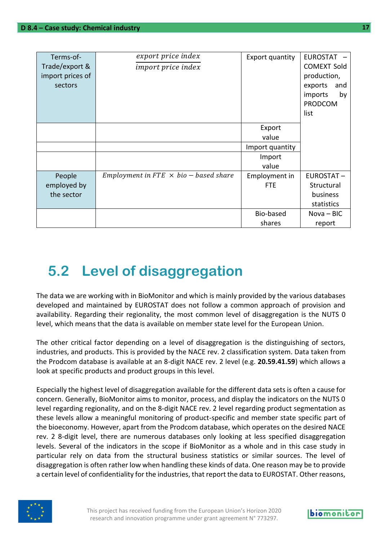| Terms-of-<br>Trade/export &<br>import prices of<br>sectors | export price index<br>import price index     | Export quantity | <b>EUROSTAT</b><br><b>COMEXT Sold</b><br>production,<br>exports<br>and<br>imports<br>by |
|------------------------------------------------------------|----------------------------------------------|-----------------|-----------------------------------------------------------------------------------------|
|                                                            |                                              |                 | <b>PRODCOM</b><br>list                                                                  |
|                                                            |                                              | Export          |                                                                                         |
|                                                            |                                              | value           |                                                                                         |
|                                                            |                                              | Import quantity |                                                                                         |
|                                                            |                                              | Import          |                                                                                         |
|                                                            |                                              | value           |                                                                                         |
| People                                                     | Employment in FTE $\times$ bio – based share | Employment in   | <b>EUROSTAT-</b>                                                                        |
| employed by                                                |                                              | <b>FTE</b>      | Structural                                                                              |
| the sector                                                 |                                              |                 | business                                                                                |
|                                                            |                                              |                 | statistics                                                                              |
|                                                            |                                              | Bio-based       | Nova - BIC                                                                              |
|                                                            |                                              | shares          | report                                                                                  |

## <span id="page-16-0"></span>**5.2 Level of disaggregation**

The data we are working with in BioMonitor and which is mainly provided by the various databases developed and maintained by EUROSTAT does not follow a common approach of provision and availability. Regarding their regionality, the most common level of disaggregation is the NUTS 0 level, which means that the data is available on member state level for the European Union.

The other critical factor depending on a level of disaggregation is the distinguishing of sectors, industries, and products. This is provided by the NACE rev. 2 classification system. Data taken from the Prodcom database is available at an 8-digit NACE rev. 2 level (e.g. **20.59.41.59**) which allows a look at specific products and product groups in this level.

Especially the highest level of disaggregation available for the different data sets is often a cause for concern. Generally, BioMonitor aims to monitor, process, and display the indicators on the NUTS 0 level regarding regionality, and on the 8-digit NACE rev. 2 level regarding product segmentation as these levels allow a meaningful monitoring of product-specific and member state specific part of the bioeconomy. However, apart from the Prodcom database, which operates on the desired NACE rev. 2 8-digit level, there are numerous databases only looking at less specified disaggregation levels. Several of the indicators in the scope if BioMonitor as a whole and in this case study in particular rely on data from the structural business statistics or similar sources. The level of disaggregation is often rather low when handling these kinds of data. One reason may be to provide a certain level of confidentiality for the industries, that report the data to EUROSTAT. Other reasons,

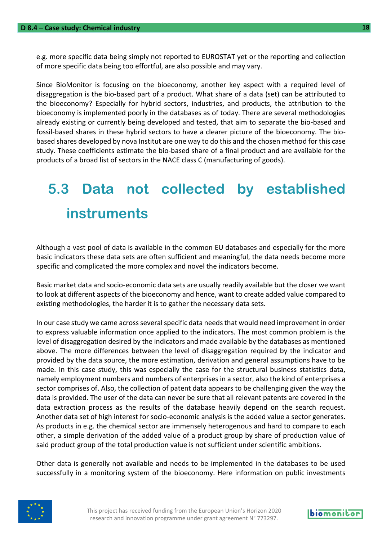e.g. more specific data being simply not reported to EUROSTAT yet or the reporting and collection of more specific data being too effortful, are also possible and may vary.

Since BioMonitor is focusing on the bioeconomy, another key aspect with a required level of disaggregation is the bio-based part of a product. What share of a data (set) can be attributed to the bioeconomy? Especially for hybrid sectors, industries, and products, the attribution to the bioeconomy is implemented poorly in the databases as of today. There are several methodologies already existing or currently being developed and tested, that aim to separate the bio-based and fossil-based shares in these hybrid sectors to have a clearer picture of the bioeconomy. The biobased shares developed by nova Institut are one way to do this and the chosen method for this case study. These coefficients estimate the bio-based share of a final product and are available for the products of a broad list of sectors in the NACE class C (manufacturing of goods).

## <span id="page-17-0"></span>**5.3 Data not collected by established instruments**

Although a vast pool of data is available in the common EU databases and especially for the more basic indicators these data sets are often sufficient and meaningful, the data needs become more specific and complicated the more complex and novel the indicators become.

Basic market data and socio-economic data sets are usually readily available but the closer we want to look at different aspects of the bioeconomy and hence, want to create added value compared to existing methodologies, the harder it is to gather the necessary data sets.

In our case study we came across several specific data needs that would need improvement in order to express valuable information once applied to the indicators. The most common problem is the level of disaggregation desired by the indicators and made available by the databases as mentioned above. The more differences between the level of disaggregation required by the indicator and provided by the data source, the more estimation, derivation and general assumptions have to be made. In this case study, this was especially the case for the structural business statistics data, namely employment numbers and numbers of enterprises in a sector, also the kind of enterprises a sector comprises of. Also, the collection of patent data appears to be challenging given the way the data is provided. The user of the data can never be sure that all relevant patents are covered in the data extraction process as the results of the database heavily depend on the search request. Another data set of high interest for socio-economic analysis is the added value a sector generates. As products in e.g. the chemical sector are immensely heterogenous and hard to compare to each other, a simple derivation of the added value of a product group by share of production value of said product group of the total production value is not sufficient under scientific ambitions.

Other data is generally not available and needs to be implemented in the databases to be used successfully in a monitoring system of the bioeconomy. Here information on public investments



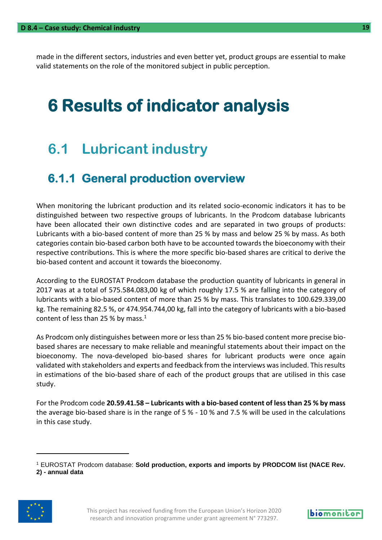made in the different sectors, industries and even better yet, product groups are essential to make valid statements on the role of the monitored subject in public perception.

## <span id="page-18-0"></span>**6 Results of indicator analysis**

### <span id="page-18-1"></span>**6.1 Lubricant industry**

#### <span id="page-18-2"></span>**6.1.1 General production overview**

When monitoring the lubricant production and its related socio-economic indicators it has to be distinguished between two respective groups of lubricants. In the Prodcom database lubricants have been allocated their own distinctive codes and are separated in two groups of products: Lubricants with a bio-based content of more than 25 % by mass and below 25 % by mass. As both categories contain bio-based carbon both have to be accounted towards the bioeconomy with their respective contributions. This is where the more specific bio-based shares are critical to derive the bio-based content and account it towards the bioeconomy.

According to the EUROSTAT Prodcom database the production quantity of lubricants in general in 2017 was at a total of 575.584.083,00 kg of which roughly 17.5 % are falling into the category of lubricants with a bio-based content of more than 25 % by mass. This translates to 100.629.339,00 kg. The remaining 82.5 %, or 474.954.744,00 kg, fall into the category of lubricants with a bio-based content of less than 25 % by mass. $1$ 

As Prodcom only distinguishes between more or less than 25 % bio-based content more precise biobased shares are necessary to make reliable and meaningful statements about their impact on the bioeconomy. The nova-developed bio-based shares for lubricant products were once again validated with stakeholders and experts and feedback from the interviews was included. This results in estimations of the bio-based share of each of the product groups that are utilised in this case study.

For the Prodcom code **20.59.41.58 – Lubricants with a bio-based content of less than 25 % by mass**  the average bio-based share is in the range of 5 % - 10 % and 7.5 % will be used in the calculations in this case study.

<sup>1</sup> EUROSTAT Prodcom database: **Sold production, exports and imports by PRODCOM list (NACE Rev. 2) - annual data**



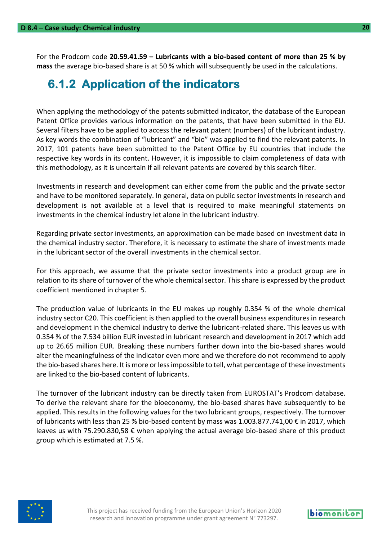For the Prodcom code **20.59.41.59 – Lubricants with a bio-based content of more than 25 % by mass** the average bio-based share is at 50 % which will subsequently be used in the calculations.

#### <span id="page-19-0"></span>**6.1.2 Application of the indicators**

When applying the methodology of the patents submitted indicator, the database of the European Patent Office provides various information on the patents, that have been submitted in the EU. Several filters have to be applied to access the relevant patent (numbers) of the lubricant industry. As key words the combination of "lubricant" and "bio" was applied to find the relevant patents. In 2017, 101 patents have been submitted to the Patent Office by EU countries that include the respective key words in its content. However, it is impossible to claim completeness of data with this methodology, as it is uncertain if all relevant patents are covered by this search filter.

Investments in research and development can either come from the public and the private sector and have to be monitored separately. In general, data on public sector investments in research and development is not available at a level that is required to make meaningful statements on investments in the chemical industry let alone in the lubricant industry.

Regarding private sector investments, an approximation can be made based on investment data in the chemical industry sector. Therefore, it is necessary to estimate the share of investments made in the lubricant sector of the overall investments in the chemical sector.

For this approach, we assume that the private sector investments into a product group are in relation to its share of turnover of the whole chemical sector. This share is expressed by the product coefficient mentioned in chapter 5.

The production value of lubricants in the EU makes up roughly 0.354 % of the whole chemical industry sector C20. This coefficient is then applied to the overall business expenditures in research and development in the chemical industry to derive the lubricant-related share. This leaves us with 0.354 % of the 7.534 billion EUR invested in lubricant research and development in 2017 which add up to 26.65 million EUR. Breaking these numbers further down into the bio-based shares would alter the meaningfulness of the indicator even more and we therefore do not recommend to apply the bio-based shares here. It is more or less impossible to tell, what percentage of these investments are linked to the bio-based content of lubricants.

The turnover of the lubricant industry can be directly taken from EUROSTAT's Prodcom database. To derive the relevant share for the bioeconomy, the bio-based shares have subsequently to be applied. This results in the following values for the two lubricant groups, respectively. The turnover of lubricants with less than 25 % bio-based content by mass was 1.003.877.741,00 € in 2017, which leaves us with 75.290.830,58 € when applying the actual average bio-based share of this product group which is estimated at 7.5 %.

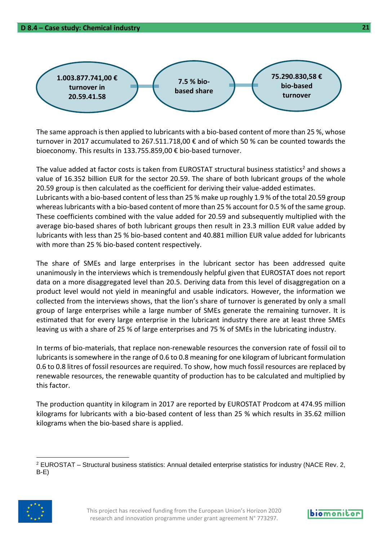

**D 8.4 – Case study: Chemical industry 21**

The same approach is then applied to lubricants with a bio-based content of more than 25 %, whose turnover in 2017 accumulated to 267.511.718,00 € and of which 50 % can be counted towards the bioeconomy. This results in 133.755.859,00 € bio-based turnover.

The value added at factor costs is taken from EUROSTAT structural business statistics<sup>2</sup> and shows a value of 16.352 billion EUR for the sector 20.59. The share of both lubricant groups of the whole 20.59 group is then calculated as the coefficient for deriving their value-added estimates. Lubricants with a bio-based content of less than 25 % make up roughly 1.9 % of the total 20.59 group whereas lubricants with a bio-based content of more than 25 % account for 0.5 % of the same group. These coefficients combined with the value added for 20.59 and subsequently multiplied with the average bio-based shares of both lubricant groups then result in 23.3 million EUR value added by lubricants with less than 25 % bio-based content and 40.881 million EUR value added for lubricants with more than 25 % bio-based content respectively.

The share of SMEs and large enterprises in the lubricant sector has been addressed quite unanimously in the interviews which is tremendously helpful given that EUROSTAT does not report data on a more disaggregated level than 20.5. Deriving data from this level of disaggregation on a product level would not yield in meaningful and usable indicators. However, the information we collected from the interviews shows, that the lion's share of turnover is generated by only a small group of large enterprises while a large number of SMEs generate the remaining turnover. It is estimated that for every large enterprise in the lubricant industry there are at least three SMEs leaving us with a share of 25 % of large enterprises and 75 % of SMEs in the lubricating industry.

In terms of bio-materials, that replace non-renewable resources the conversion rate of fossil oil to lubricants is somewhere in the range of 0.6 to 0.8 meaning for one kilogram of lubricant formulation 0.6 to 0.8 litres of fossil resources are required. To show, how much fossil resources are replaced by renewable resources, the renewable quantity of production has to be calculated and multiplied by this factor.

The production quantity in kilogram in 2017 are reported by EUROSTAT Prodcom at 474.95 million kilograms for lubricants with a bio-based content of less than 25 % which results in 35.62 million kilograms when the bio-based share is applied.

<sup>2</sup> EUROSTAT – Structural business statistics: Annual detailed enterprise statistics for industry (NACE Rev. 2, B-E)

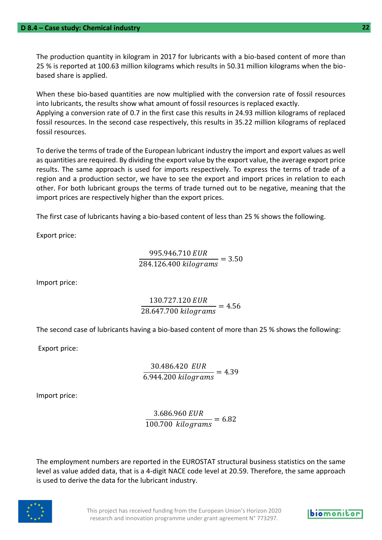The production quantity in kilogram in 2017 for lubricants with a bio-based content of more than 25 % is reported at 100.63 million kilograms which results in 50.31 million kilograms when the biobased share is applied.

When these bio-based quantities are now multiplied with the conversion rate of fossil resources into lubricants, the results show what amount of fossil resources is replaced exactly. Applying a conversion rate of 0.7 in the first case this results in 24.93 million kilograms of replaced fossil resources. In the second case respectively, this results in 35.22 million kilograms of replaced fossil resources.

To derive the terms of trade of the European lubricant industry the import and export values as well as quantities are required. By dividing the export value by the export value, the average export price results. The same approach is used for imports respectively. To express the terms of trade of a region and a production sector, we have to see the export and import prices in relation to each other. For both lubricant groups the terms of trade turned out to be negative, meaning that the import prices are respectively higher than the export prices.

The first case of lubricants having a bio-based content of less than 25 % shows the following.

Export price:

$$
\frac{995.946.710 \text{ EUR}}{284.126.400 \text{ kilograms}} = 3.50
$$

Import price:

$$
\frac{130.727.120 \text{ EUR}}{28.647.700 \text{ kilograms}} = 4.56
$$

The second case of lubricants having a bio-based content of more than 25 % shows the following:

Export price:

30.486.420  $\frac{6.944.200 \text{ kilograms}}{6.944.200 \text{ kilograms}} = 4.39$ 

Import price:

3.686.960  $\frac{100.700 \text{ kilograms}}{100.700 \text{ kilograms}} = 6.82$ 

The employment numbers are reported in the EUROSTAT structural business statistics on the same level as value added data, that is a 4-digit NACE code level at 20.59. Therefore, the same approach is used to derive the data for the lubricant industry.



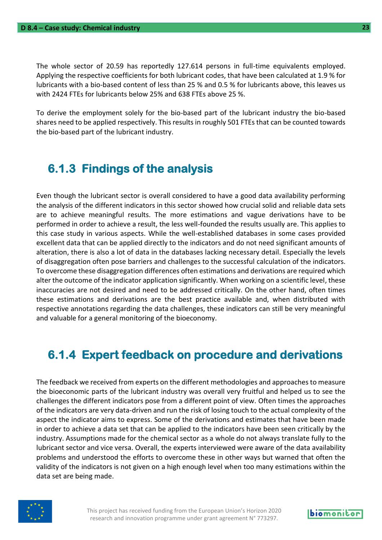The whole sector of 20.59 has reportedly 127.614 persons in full-time equivalents employed. Applying the respective coefficients for both lubricant codes, that have been calculated at 1.9 % for lubricants with a bio-based content of less than 25 % and 0.5 % for lubricants above, this leaves us with 2424 FTEs for lubricants below 25% and 638 FTEs above 25 %.

To derive the employment solely for the bio-based part of the lubricant industry the bio-based shares need to be applied respectively. This results in roughly 501 FTEs that can be counted towards the bio-based part of the lubricant industry.

#### <span id="page-22-0"></span>**6.1.3 Findings of the analysis**

Even though the lubricant sector is overall considered to have a good data availability performing the analysis of the different indicators in this sector showed how crucial solid and reliable data sets are to achieve meaningful results. The more estimations and vague derivations have to be performed in order to achieve a result, the less well-founded the results usually are. This applies to this case study in various aspects. While the well-established databases in some cases provided excellent data that can be applied directly to the indicators and do not need significant amounts of alteration, there is also a lot of data in the databases lacking necessary detail. Especially the levels of disaggregation often pose barriers and challenges to the successful calculation of the indicators. To overcome these disaggregation differences often estimations and derivations are required which alter the outcome of the indicator application significantly. When working on a scientific level, these inaccuracies are not desired and need to be addressed critically. On the other hand, often times these estimations and derivations are the best practice available and, when distributed with respective annotations regarding the data challenges, these indicators can still be very meaningful and valuable for a general monitoring of the bioeconomy.

#### <span id="page-22-1"></span>**6.1.4 Expert feedback on procedure and derivations**

The feedback we received from experts on the different methodologies and approaches to measure the bioeconomic parts of the lubricant industry was overall very fruitful and helped us to see the challenges the different indicators pose from a different point of view. Often times the approaches of the indicators are very data-driven and run the risk of losing touch to the actual complexity of the aspect the indicator aims to express. Some of the derivations and estimates that have been made in order to achieve a data set that can be applied to the indicators have been seen critically by the industry. Assumptions made for the chemical sector as a whole do not always translate fully to the lubricant sector and vice versa. Overall, the experts interviewed were aware of the data availability problems and understood the efforts to overcome these in other ways but warned that often the validity of the indicators is not given on a high enough level when too many estimations within the data set are being made.



This project has received funding from the European Union's Horizon 2020 research and innovation programme under grant agreement N° 773297.

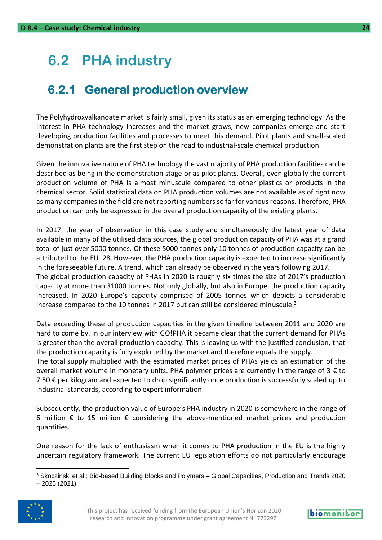### <span id="page-23-0"></span>**6.2 PHA industry**

#### <span id="page-23-1"></span>**6.2.1 General production overview**

The Polyhydroxyalkanoate market is fairly small, given its status as an emerging technology. As the interest in PHA technology increases and the market grows, new companies emerge and start developing production facilities and processes to meet this demand. Pilot plants and small-scaled demonstration plants are the first step on the road to industrial-scale chemical production.

Given the innovative nature of PHA technology the vast majority of PHA production facilities can be described as being in the demonstration stage or as pilot plants. Overall, even globally the current production volume of PHA is almost minuscule compared to other plastics or products in the chemical sector. Solid statistical data on PHA production volumes are not available as of right now as many companies in the field are not reporting numbers so far for various reasons. Therefore, PHA production can only be expressed in the overall production capacity of the existing plants.

In 2017, the year of observation in this case study and simultaneously the latest year of data available in many of the utilised data sources, the global production capacity of PHA was at a grand total of just over 5000 tonnes. Of these 5000 tonnes only 10 tonnes of production capacity can be attributed to the EU–28. However, the PHA production capacity is expected to increase significantly in the foreseeable future. A trend, which can already be observed in the years following 2017. The global production capacity of PHAs in 2020 is roughly six times the size of 2017's production capacity at more than 31000 tonnes. Not only globally, but also in Europe, the production capacity increased. In 2020 Europe's capacity comprised of 2005 tonnes which depicts a considerable increase compared to the 10 tonnes in 2017 but can still be considered minuscule.<sup>3</sup>

Data exceeding these of production capacities in the given timeline between 2011 and 2020 are hard to come by. In our interview with GO!PHA it became clear that the current demand for PHAs is greater than the overall production capacity. This is leaving us with the justified conclusion, that the production capacity is fully exploited by the market and therefore equals the supply.

The total supply multiplied with the estimated market prices of PHAs yields an estimation of the overall market volume in monetary units. PHA polymer prices are currently in the range of  $3 \notin$  to 7,50 € per kilogram and expected to drop significantly once production is successfully scaled up to industrial standards, according to expert information.

Subsequently, the production value of Europe's PHA industry in 2020 is somewhere in the range of 6 million  $\epsilon$  to 15 million  $\epsilon$  considering the above-mentioned market prices and production quantities.

One reason for the lack of enthusiasm when it comes to PHA production in the EU is the highly uncertain regulatory framework. The current EU legislation efforts do not particularly encourage

<sup>3</sup> Skoczinski et al.; Bio-based Building Blocks and Polymers – Global Capacities, Production and Trends 2020 – 2025 (2021)



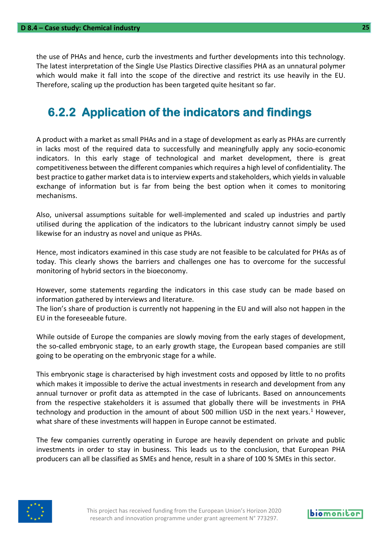the use of PHAs and hence, curb the investments and further developments into this technology. The latest interpretation of the Single Use Plastics Directive classifies PHA as an unnatural polymer which would make it fall into the scope of the directive and restrict its use heavily in the EU. Therefore, scaling up the production has been targeted quite hesitant so far.

#### <span id="page-24-0"></span>**6.2.2 Application of the indicators and findings**

A product with a market as small PHAs and in a stage of development as early as PHAs are currently in lacks most of the required data to successfully and meaningfully apply any socio-economic indicators. In this early stage of technological and market development, there is great competitiveness between the different companies which requires a high level of confidentiality. The best practice to gather market data is to interview experts and stakeholders, which yields in valuable exchange of information but is far from being the best option when it comes to monitoring mechanisms.

Also, universal assumptions suitable for well-implemented and scaled up industries and partly utilised during the application of the indicators to the lubricant industry cannot simply be used likewise for an industry as novel and unique as PHAs.

Hence, most indicators examined in this case study are not feasible to be calculated for PHAs as of today. This clearly shows the barriers and challenges one has to overcome for the successful monitoring of hybrid sectors in the bioeconomy.

However, some statements regarding the indicators in this case study can be made based on information gathered by interviews and literature.

The lion's share of production is currently not happening in the EU and will also not happen in the EU in the foreseeable future.

While outside of Europe the companies are slowly moving from the early stages of development, the so-called embryonic stage, to an early growth stage, the European based companies are still going to be operating on the embryonic stage for a while.

This embryonic stage is characterised by high investment costs and opposed by little to no profits which makes it impossible to derive the actual investments in research and development from any annual turnover or profit data as attempted in the case of lubricants. Based on announcements from the respective stakeholders it is assumed that globally there will be investments in PHA technology and production in the amount of about 500 million USD in the next years.<sup>1</sup> However, what share of these investments will happen in Europe cannot be estimated.

The few companies currently operating in Europe are heavily dependent on private and public investments in order to stay in business. This leads us to the conclusion, that European PHA producers can all be classified as SMEs and hence, result in a share of 100 % SMEs in this sector.

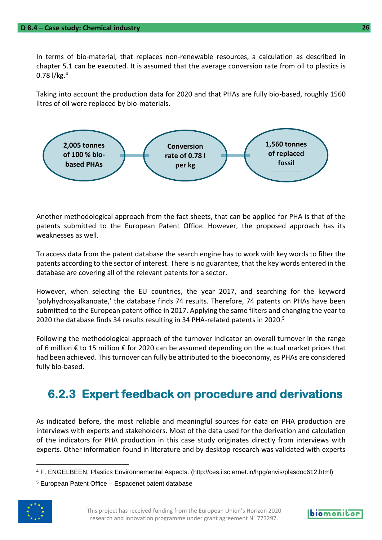In terms of bio-material, that replaces non-renewable resources, a calculation as described in chapter 5.1 can be executed. It is assumed that the average conversion rate from oil to plastics is 0.78  $1/kg.<sup>4</sup>$ 

Taking into account the production data for 2020 and that PHAs are fully bio-based, roughly 1560 litres of oil were replaced by bio-materials.



Another methodological approach from the fact sheets, that can be applied for PHA is that of the patents submitted to the European Patent Office. However, the proposed approach has its weaknesses as well.

To access data from the patent database the search engine has to work with key words to filter the patents according to the sector of interest. There is no guarantee, that the key words entered in the database are covering all of the relevant patents for a sector.

However, when selecting the EU countries, the year 2017, and searching for the keyword 'polyhydroxyalkanoate,' the database finds 74 results. Therefore, 74 patents on PHAs have been submitted to the European patent office in 2017. Applying the same filters and changing the year to 2020 the database finds 34 results resulting in 34 PHA-related patents in 2020.<sup>5</sup>

Following the methodological approach of the turnover indicator an overall turnover in the range of 6 million € to 15 million € for 2020 can be assumed depending on the actual market prices that had been achieved. This turnover can fully be attributed to the bioeconomy, as PHAs are considered fully bio-based.

#### <span id="page-25-0"></span>**6.2.3 Expert feedback on procedure and derivations**

As indicated before, the most reliable and meaningful sources for data on PHA production are interviews with experts and stakeholders. Most of the data used for the derivation and calculation of the indicators for PHA production in this case study originates directly from interviews with experts. Other information found in literature and by desktop research was validated with experts

<sup>5</sup> European Patent Office – Espacenet patent database





<sup>4</sup> F. ENGELBEEN, Plastics Environnemental Aspects. (http://ces.iisc.ernet.in/hpg/envis/plasdoc612.html)

This project has received funding from the European Union's Horizon 2020 research and innovation programme under grant agreement N° 773297.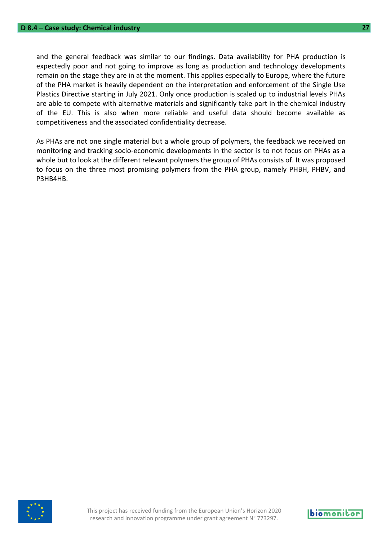and the general feedback was similar to our findings. Data availability for PHA production is expectedly poor and not going to improve as long as production and technology developments remain on the stage they are in at the moment. This applies especially to Europe, where the future of the PHA market is heavily dependent on the interpretation and enforcement of the Single Use Plastics Directive starting in July 2021. Only once production is scaled up to industrial levels PHAs are able to compete with alternative materials and significantly take part in the chemical industry of the EU. This is also when more reliable and useful data should become available as competitiveness and the associated confidentiality decrease.

As PHAs are not one single material but a whole group of polymers, the feedback we received on monitoring and tracking socio-economic developments in the sector is to not focus on PHAs as a whole but to look at the different relevant polymers the group of PHAs consists of. It was proposed to focus on the three most promising polymers from the PHA group, namely PHBH, PHBV, and P3HB4HB.